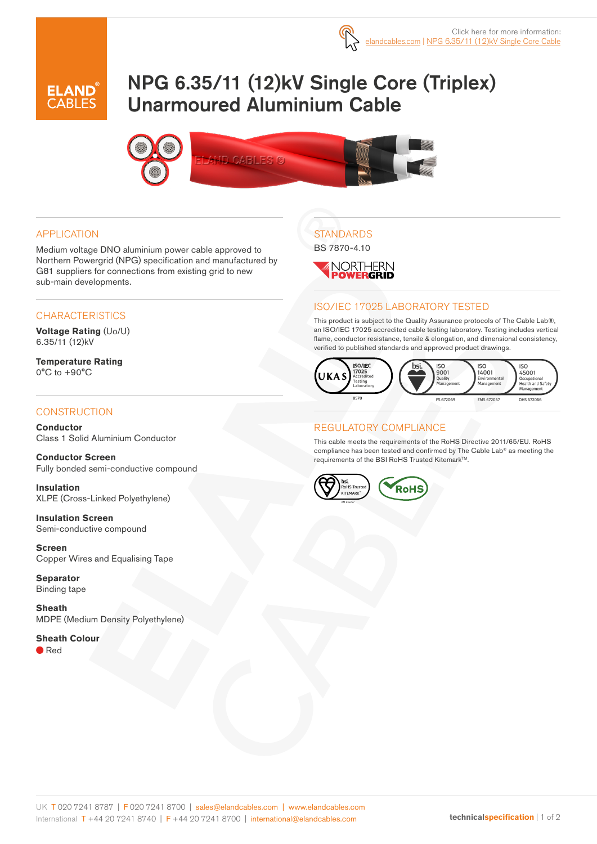

# NPG 6.35/11 (12)kV Single Core (Triplex) Unarmoured Aluminium Cable



#### APPLICATION

Medium voltage DNO aluminium power cable approved to Northern Powergrid (NPG) specification and manufactured by G81 suppliers for connections from existing grid to new sub-main developments.

#### **CHARACTERISTICS**

**Voltage Rating** (Uo/U) 6.35/11 (12)kV

**Temperature Rating** 0°C to +90°C

#### **CONSTRUCTION**

**Conductor** Class 1 Solid Aluminium Conductor

**Conductor Screen** Fully bonded semi-conductive compound

**Insulation** XLPE (Cross-Linked Polyethylene)

**Insulation Screen** Semi-conductive compound

**Screen** Copper Wires and Equalising Tape

**Separator** Binding tape

**Sheath** MDPE (Medium Density Polyethylene)

#### **Sheath Colour**

● Red

# **STANDARDS**

BS 7870-4.10



#### ISO/IEC 17025 LABORATORY TESTED

This product is subject to the Quality Assurance protocols of The Cable Lab®, an ISO/IEC 17025 accredited cable testing laboratory. Testing includes vertical flame, conductor resistance, tensile & elongation, and dimensional consistency, verified to published standards and approved product drawings.



#### REGULATORY COMPLIANCE

This cable meets the requirements of the RoHS Directive 2011/65/EU. RoHS compliance has been tested and confirmed by The Cable Lab® as meeting the requirements of the BSI RoHS Trusted Kitemark™.